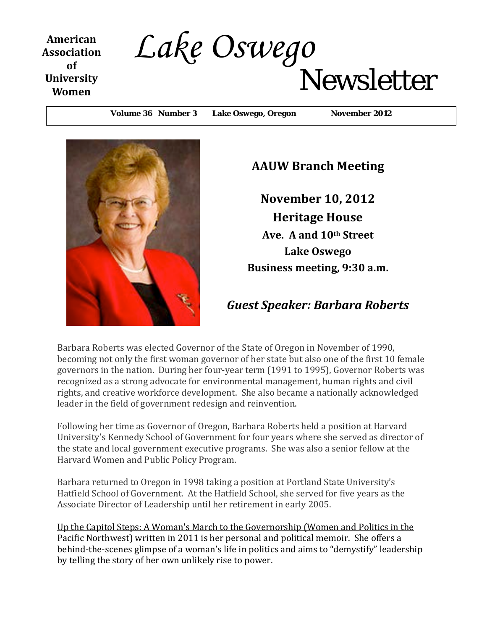**American Association of University Women**

# *Lake Oswego*Newsletter

Volume 36 Number 3 Lake Oswego, Oregon November 2012



### **AAUW Branch Meeting**

**November 10, 2012 Heritage House Ave. A and 10th Street Lake Oswego Business meeting, 9:30 a.m.**

### *Guest Speaker: Barbara Roberts*

Barbara Roberts was elected Governor of the State of Oregon in November of 1990, becoming not only the first woman governor of her state but also one of the first 10 female governors in the nation. During her four-year term (1991 to 1995), Governor Roberts was recognized as a strong advocate for environmental management, human rights and civil rights, and creative workforce development. She also became a nationally acknowledged leader in the field of government redesign and reinvention.

Following her time as Governor of Oregon, Barbara Roberts held a position at Harvard University's Kennedy School of Government for four years where she served as director of the state and local government executive programs. She was also a senior fellow at the Harvard Women and Public Policy Program.

Barbara returned to Oregon in 1998 taking a position at Portland State University's Hatfield School of Government. At the Hatfield School, she served for five years as the Associate Director of Leadership until her retirement in early 2005.

Up the Capitol Steps: A Woman['s March to the Governorship \(Women and Politics](http://www.amazon.com/Up-Capitol-Steps-Governorship-Northwest/dp/0870716107/ref=sr_1_1?s=books&ie=UTF8&qid=1351570346&sr=1-1&keywords=Up+the+Capitol+Steps%2C+barbara+roberts) in the [Pacific Northwest\)](http://www.amazon.com/Up-Capitol-Steps-Governorship-Northwest/dp/0870716107/ref=sr_1_1?s=books&ie=UTF8&qid=1351570346&sr=1-1&keywords=Up+the+Capitol+Steps%2C+barbara+roberts) written in 2011 is her personal and political memoir. She offers a behind-the-scenes glimpse of a woman's life in politics and aims to "demystify" leadership by telling the story of her own unlikely rise to power.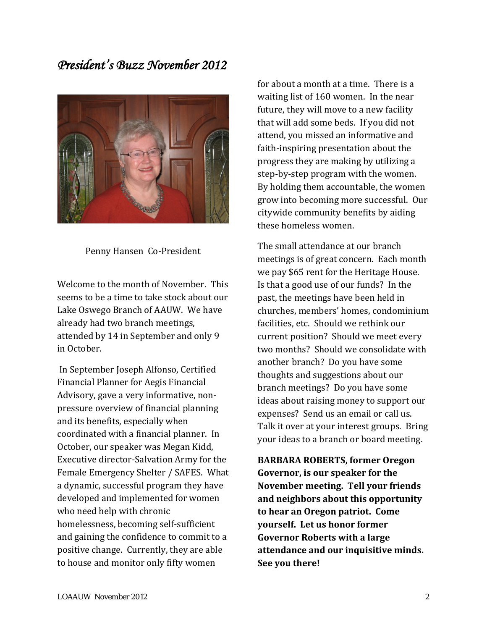### *President's Buzz November 2012*



Penny Hansen Co-President

Welcome to the month of November. This seems to be a time to take stock about our Lake Oswego Branch of AAUW. We have already had two branch meetings, attended by 14 in September and only 9 in October.

In September Joseph Alfonso, Certified Financial Planner for Aegis Financial Advisory, gave a very informative, nonpressure overview of financial planning and its benefits, especially when coordinated with a financial planner. In October, our speaker was Megan Kidd, Executive director-Salvation Army for the Female Emergency Shelter / SAFES. What a dynamic, successful program they have developed and implemented for women who need help with chronic homelessness, becoming self-sufficient and gaining the confidence to commit to a positive change. Currently, they are able to house and monitor only fifty women

for about a month at a time. There is a waiting list of 160 women. In the near future, they will move to a new facility that will add some beds. If you did not attend, you missed an informative and faith-inspiring presentation about the progress they are making by utilizing a step-by-step program with the women. By holding them accountable, the women grow into becoming more successful. Our citywide community benefits by aiding these homeless women.

The small attendance at our branch meetings is of great concern. Each month we pay \$65 rent for the Heritage House. Is that a good use of our funds? In the past, the meetings have been held in churches, members' homes, condominium facilities, etc. Should we rethink our current position? Should we meet every two months? Should we consolidate with another branch? Do you have some thoughts and suggestions about our branch meetings? Do you have some ideas about raising money to support our expenses? Send us an email or call us. Talk it over at your interest groups. Bring your ideas to a branch or board meeting.

**BARBARA ROBERTS, former Oregon Governor, is our speaker for the November meeting. Tell your friends and neighbors about this opportunity to hear an Oregon patriot. Come yourself. Let us honor former Governor Roberts with a large attendance and our inquisitive minds. See you there!**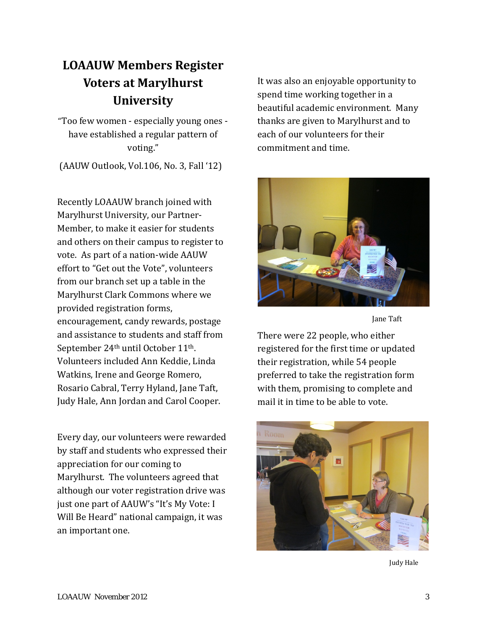# **LOAAUW Members Register Voters at Marylhurst University**

"Too few women - especially young ones have established a regular pattern of voting."

(AAUW Outlook, Vol.106, No. 3, Fall '12)

Recently LOAAUW branch joined with Marylhurst University, our Partner-Member, to make it easier for students and others on their campus to register to vote. As part of a nation-wide AAUW effort to "Get out the Vote", volunteers from our branch set up a table in the Marylhurst Clark Commons where we provided registration forms, encouragement, candy rewards, postage and assistance to students and staff from September 24th until October 11th. Volunteers included Ann Keddie, Linda Watkins, Irene and George Romero, Rosario Cabral, Terry Hyland, Jane Taft, Judy Hale, Ann Jordan and Carol Cooper.

Every day, our volunteers were rewarded by staff and students who expressed their appreciation for our coming to Marylhurst. The volunteers agreed that although our voter registration drive was just one part of AAUW's "It's My Vote: I Will Be Heard" national campaign, it was an important one.

It was also an enjoyable opportunity to spend time working together in a beautiful academic environment. Many thanks are given to Marylhurst and to each of our volunteers for their commitment and time.



Jane Taft

There were 22 people, who either registered for the first time or updated their registration, while 54 people preferred to take the registration form with them, promising to complete and mail it in time to be able to vote.



Judy Hale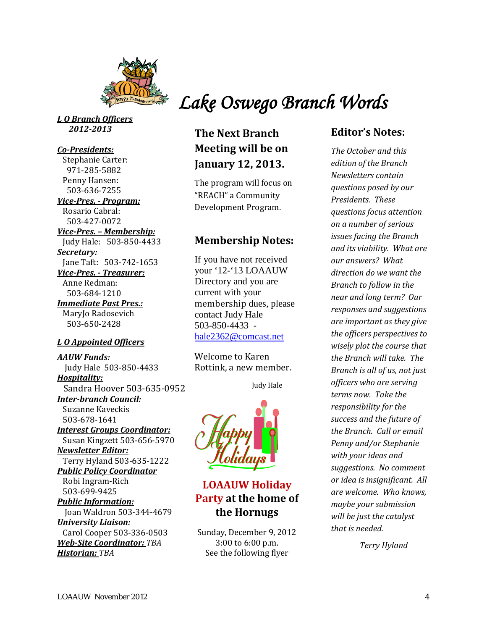

*L O Branch Officers 2012-2013*

#### *Co-Presidents:*

 Stephanie Carter: 971-285-5882 Penny Hansen: 503-636-7255 *Vice-Pres. - Program:* Rosario Cabral: 503-427-0072 *Vice-Pres. – Membership:*  Judy Hale: 503-850-4433 *Secretary:* Jane Taft: 503-742-1653 *Vice-Pres. - Treasurer:* Anne Redman: 503-684-1210

*Immediate Past Pres.:* MaryJo Radosevich 503-650-2428

#### *L O Appointed Officers*

*AAUW Funds:* Judy Hale 503-850-4433 *Hospitality:* Sandra Hoover 503-635-0952 *Inter-branch Council:* 

 Suzanne Kaveckis 503-678-1641 *Interest Groups Coordinator:*

 Susan Kingzett 503-656-5970 *Newsletter Editor:*

 Terry Hyland 503-635-1222 *Public Policy Coordinator* 

Robi Ingram-Rich 503-699-9425

*Public Information:* Joan Waldron 503-344-4679 *University Liaison:*

 Carol Cooper 503-336-0503 *Web-Site Coordinator: TBA Historian: TBA*

 *Lake Oswego Branch Words*

### **The Next Branch Meeting will be on January 12, 2013.**

The program will focus on "REACH" a Community Development Program.

### **Membership Notes:**

If you have not received your '12-'13 LOAAUW Directory and you are current with your membership dues, please contact Judy Hale 503-850-4433 [hale2362@comcast.net](mailto:hale2362@comcast.net)

Welcome to Karen Rottink, a new member.

Judy Hale



**LOAAUW Holiday Party at the home of the Hornugs**

Sunday, December 9, 2012 3:00 to 6:00 p.m. See the following flyer

### **Editor's Notes:**

*The October and this edition of the Branch Newsletters contain questions posed by our Presidents. These questions focus attention on a number of serious issues facing the Branch and its viability. What are our answers? What direction do we want the Branch to follow in the near and long term? Our responses and suggestions are important as they give the officers perspectives to wisely plot the course that the Branch will take. The Branch is all of us, not just officers who are serving terms now. Take the responsibility for the success and the future of the Branch. Call or email Penny and/or Stephanie with your ideas and suggestions. No comment or idea is insignificant. All are welcome. Who knows, maybe your submission will be just the catalyst that is needed.*

*Terry Hyland*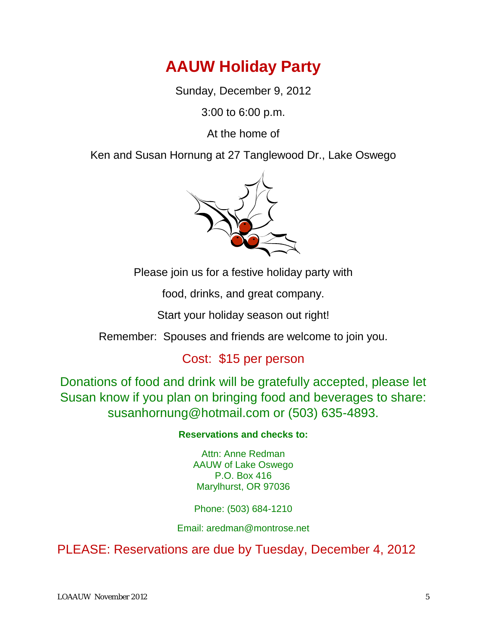# **AAUW Holiday Party**

Sunday, December 9, 2012

3:00 to 6:00 p.m.

At the home of

Ken and Susan Hornung at 27 Tanglewood Dr., Lake Oswego



Please join us for a festive holiday party with

food, drinks, and great company.

Start your holiday season out right!

Remember: Spouses and friends are welcome to join you.

## Cost: \$15 per person

Donations of food and drink will be gratefully accepted, please let Susan know if you plan on bringing food and beverages to share: susanhornung@hotmail.com or (503) 635-4893.

### **Reservations and checks to:**

Attn: Anne Redman AAUW of Lake Oswego P.O. Box 416 Marylhurst, OR 97036

Phone: (503) 684-1210

Email: aredman@montrose.net

PLEASE: Reservations are due by Tuesday, December 4, 2012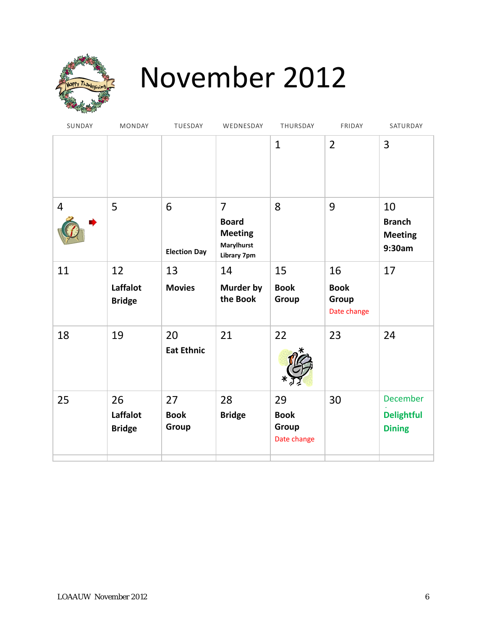

# November 2012

| MONDAY                          | TUESDAY                    | WEDNESDAY                                                                                   | THURSDAY                                  | FRIDAY                                    | SATURDAY                                              |
|---------------------------------|----------------------------|---------------------------------------------------------------------------------------------|-------------------------------------------|-------------------------------------------|-------------------------------------------------------|
|                                 |                            |                                                                                             | $\mathbf{1}$                              | $\overline{2}$                            | 3                                                     |
| 5                               | 6<br><b>Election Day</b>   | $\overline{7}$<br><b>Board</b><br><b>Meeting</b><br><b>Marylhurst</b><br><b>Library 7pm</b> | 8                                         | 9                                         | 10<br><b>Branch</b><br><b>Meeting</b><br>9:30am       |
| 12<br>Laffalot<br><b>Bridge</b> | 13<br><b>Movies</b>        | 14<br>Murder by<br>the Book                                                                 | 15<br><b>Book</b><br>Group                | 16<br><b>Book</b><br>Group<br>Date change | 17                                                    |
| 19                              | 20<br><b>Eat Ethnic</b>    | 21                                                                                          | 22                                        | 23                                        | 24                                                    |
| 26<br>Laffalot<br><b>Bridge</b> | 27<br><b>Book</b><br>Group | 28<br><b>Bridge</b>                                                                         | 29<br><b>Book</b><br>Group<br>Date change | 30                                        | <b>December</b><br><b>Delightful</b><br><b>Dining</b> |
|                                 |                            |                                                                                             |                                           |                                           |                                                       |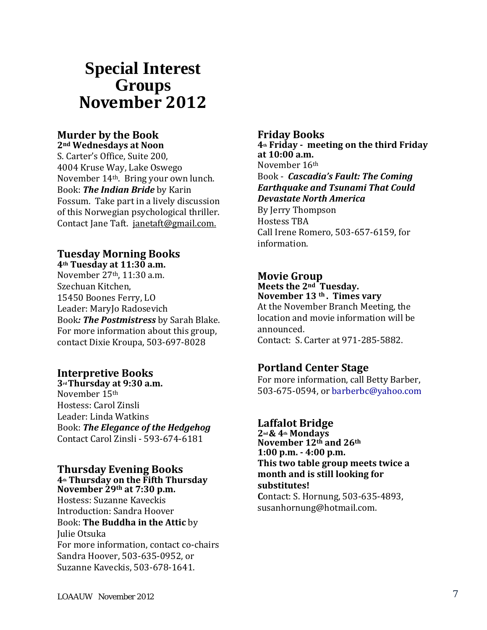# **Special Interest Groups November 2012**

### **Murder by the Book**

**2nd Wednesdays at Noon** S. Carter's Office, Suite 200, 4004 Kruse Way, Lake Oswego November 14th. Bring your own lunch. Book: *The Indian Bride* by Karin Fossum. Take part in a lively discussion of this Norwegian psychological thriller. Contact Jane Taft. [janetaft@gmail.com.](mailto:janetaft@gmail.com)

### **Tuesday Morning Books 4th Tuesday at 11:30 a.m.**

November 27th, 11:30 a.m. Szechuan Kitchen, 15450 Boones Ferry, LO Leader: MaryJo Radosevich Book*: The Postmistress* by Sarah Blake. For more information about this group, contact Dixie Kroupa, 503-697-8028

### **Interpretive Books**

**3rd Thursday at 9:30 a.m.** November 15th Hostess: Carol Zinsli Leader: Linda Watkins Book: *The Elegance of the Hedgehog* Contact Carol Zinsli - 593-674-6181

#### **Thursday Evening Books 4th Thursday on the Fifth Thursday November 29th at 7:30 p.m.**

Hostess: Suzanne Kaveckis Introduction: Sandra Hoover Book: **The Buddha in the Attic** by Julie Otsuka For more information, contact co-chairs Sandra Hoover, 503-635-0952, or Suzanne Kaveckis, 503-678-1641.

### **Friday Books 4th Friday - meeting on the third Friday at 10:00 a.m.** November 16th Book - *Cascadia's Fault: The Coming Earthquake and Tsunami That Could Devastate North America* By Jerry Thompson Hostess TBA Call Irene Romero, 503-657-6159, for information.

### **Movie Group**

**Meets the 2nd Tuesday. November 13 th . Times vary** At the November Branch Meeting, the

location and movie information will be announced. Contact: S. Carter at 971-285-5882.

# **Portland Center Stage**

For more information, call Betty Barber, 503-675-0594, or barberbc@yahoo.com

### **Laffalot Bridge**

**2nd & 4th Mondays November 12th and 26th 1:00 p.m. - 4:00 p.m. This two table group meets twice a month and is still looking for substitutes! C**ontact: S. Hornung, 503-635-4893, susanhornung@hotmail.com.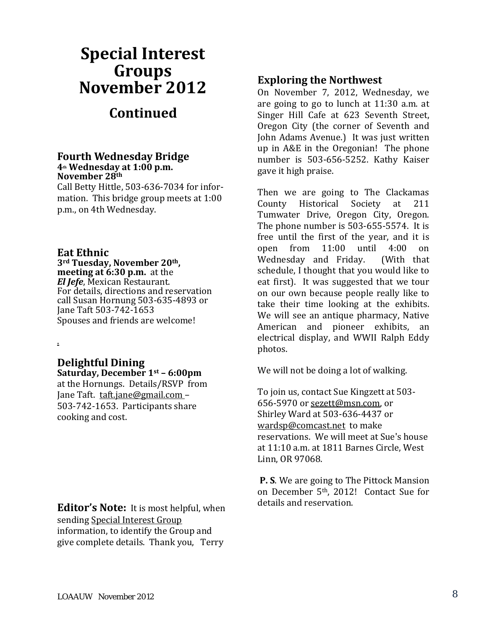# **Special Interest Groups November 2012 Continued**

#### **Fourth Wednesday Bridge 4th Wednesday at 1:00 p.m. November 28th**

Call Betty Hittle, 503-636-7034 for information. This bridge group meets at 1:00 p.m., on 4th Wednesday.

**Eat Ethnic neeting at 6:30 p.m.** at the *El Jefe*, Mexican Restaurant. For details, directions and reservation call Susan Hornung 503-635-4893 or Jane Taft 503-742-1653 Spouses and friends are welcome!

### **Delightful Dining Saturday, December 1st – 6:00pm**

.

at the Hornungs. Details/RSVP from Jane Taft. [taft.jane@gmail.com](mailto:taft.jane@gmail.com) – 503-742-1653. Participants share cooking and cost.

**Editor's Note:** It is most helpful, when sending Special Interest Group information, to identify the Group and give complete details. Thank you, Terry

### **Exploring the Northwest**

On November 7, 2012, Wednesday, we are going to go to lunch at 11:30 a.m. at Singer Hill Cafe at 623 Seventh Street, Oregon City (the corner of Seventh and John Adams Avenue.) It was just written up in A&E in the Oregonian! The phone number is 503-656-5252. Kathy Kaiser gave it high praise.

Then we are going to The Clackamas<br>County Historical Society at 211 County Historical Society at 211 Tumwater Drive, Oregon City, Oregon. The phone number is 503-655-5574. It is free until the first of the year, and it is<br>open from  $11:00$  until  $4:00$  on open from 11:00 until 4:00 on<br>Wednesdav and Fridav. (With that Wednesday and Friday. schedule, I thought that you would like to eat first). It was suggested that we tour on our own because people really like to take their time looking at the exhibits. We will see an antique pharmacy, Native American and pioneer exhibits, an electrical display, and WWII Ralph Eddy photos.

We will not be doing a lot of walking.

To join us, contact Sue Kingzett at 503- 656-5970 or [sezett@msn.com,](mailto:sezett@msn.com) or Shirley Ward at 503-636-4437 or [wardsp@comcast.net](mailto:wardsp@comcast.net) to make reservations. We will meet at Sue's house at 11:10 a.m. at 1811 Barnes Circle, West Linn, OR 97068.

**P. S**. We are going to The Pittock Mansion on December 5th, 2012! Contact Sue for details and reservation.